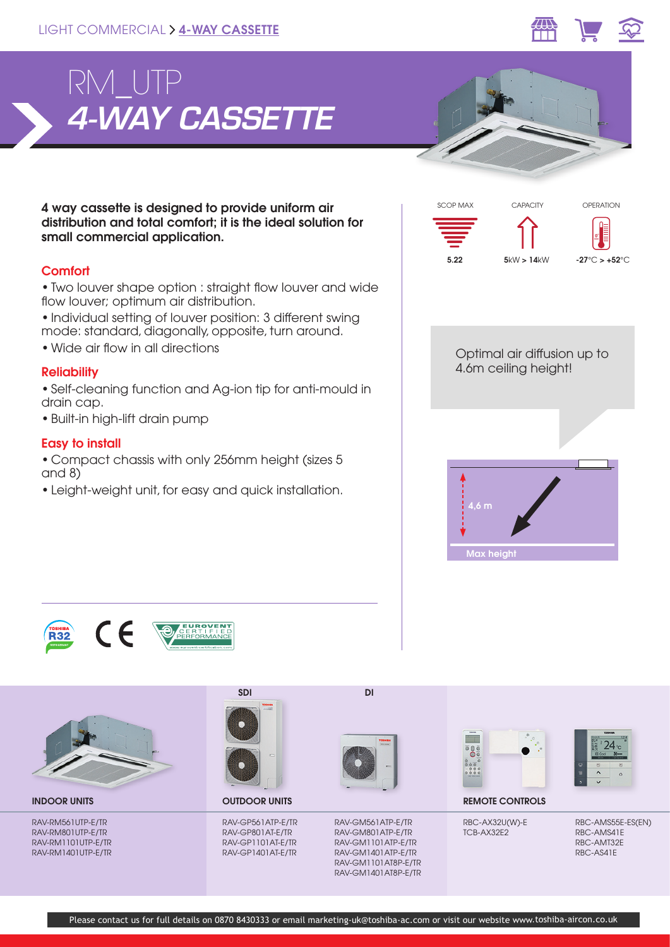



4 way cassette is designed to provide uniform air distribution and total comfort; it is the ideal solution for small commercial application.

## **Comfort**

• Two louver shape option : straight flow louver and wide flow louver; optimum air distribution.

- Individual setting of louver position: 3 different swing mode: standard, diagonally, opposite, turn around.
- Wide air flow in all directions

## **Reliability**

• Self-cleaning function and Ag-ion tip for anti-mould in drain cap.

• Built-in high-lift drain pump

## Easy to install

• Compact chassis with only 256mm height (sizes 5 and 8)

• Leight-weight unit, for easy and quick installation.







RAV-RM561UTP-E/TR RAV-RM801UTP-E/TR RAV-RM1101UTP-E/TR RAV-RM1401UTP-E/TR



OUTDOOR UNITS

RAV-GP561ATP-E/TR RAV-GP801AT-E/TR RAV-GP1101AT-E/TR RAV-GP1401AT-E/TR



RAV-GM561ATP-E/TR RAV-GM801ATP-E/TR RAV-GM1101ATP-E/TR RAV-GM1401ATP-E/TR RAV-GM1101AT8P-E/TR RAV-GM1401AT8P-E/TR





**INDOOR UNITS CONTROLS CONTROLS CONTROLS CONTROLS CONTROLS** 

RBC-AX32U(W)-E TCB-AX32E2

RBC-AMS55E-ES(EN) RBC-AMS41E RBC-AMT32E RBC-AS41E